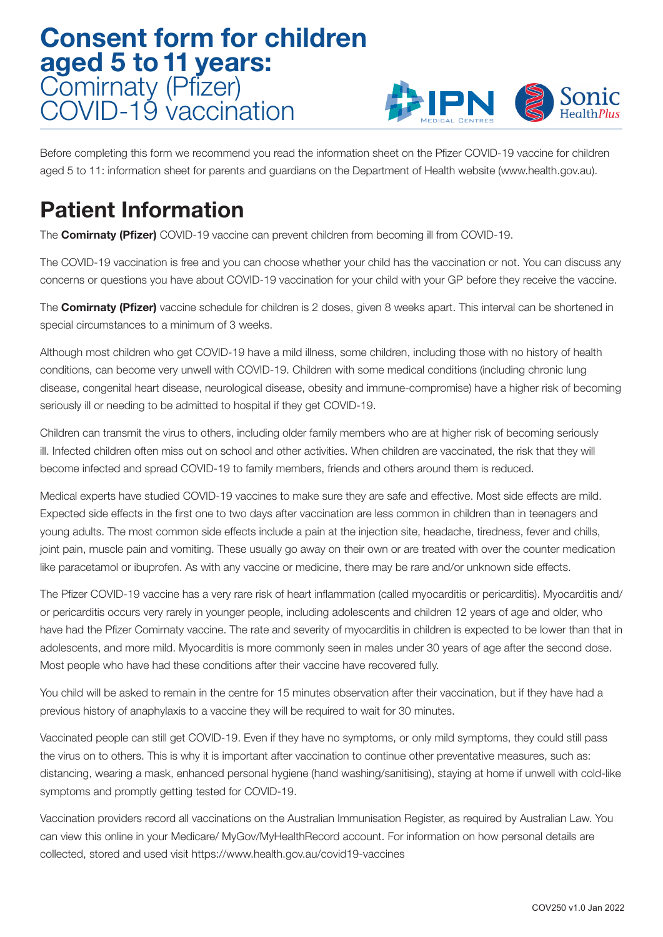## Consent form for children aged 5 to 11 years: Comirnaty (Pfizer) COVID-19 vaccination



Before completing this form we recommend you read the information sheet on the Pfizer COVID-19 vaccine for children aged 5 to 11: information sheet for parents and guardians on the Department of Health website (www.health.gov.au).

## Patient Information

The **Comirnaty (Pfizer)** COVID-19 vaccine can prevent children from becoming ill from COVID-19.

The COVID-19 vaccination is free and you can choose whether your child has the vaccination or not. You can discuss any concerns or questions you have about COVID-19 vaccination for your child with your GP before they receive the vaccine.

The **Comirnaty (Pfizer)** vaccine schedule for children is 2 doses, given 8 weeks apart. This interval can be shortened in special circumstances to a minimum of 3 weeks.

Although most children who get COVID-19 have a mild illness, some children, including those with no history of health conditions, can become very unwell with COVID-19. Children with some medical conditions (including chronic lung disease, congenital heart disease, neurological disease, obesity and immune-compromise) have a higher risk of becoming seriously ill or needing to be admitted to hospital if they get COVID-19.

Children can transmit the virus to others, including older family members who are at higher risk of becoming seriously ill. Infected children often miss out on school and other activities. When children are vaccinated, the risk that they will become infected and spread COVID-19 to family members, friends and others around them is reduced.

Medical experts have studied COVID-19 vaccines to make sure they are safe and effective. Most side effects are mild. Expected side effects in the first one to two days after vaccination are less common in children than in teenagers and young adults. The most common side effects include a pain at the injection site, headache, tiredness, fever and chills, joint pain, muscle pain and vomiting. These usually go away on their own or are treated with over the counter medication like paracetamol or ibuprofen. As with any vaccine or medicine, there may be rare and/or unknown side effects.

The Pfizer COVID-19 vaccine has a very rare risk of heart inflammation (called myocarditis or pericarditis). Myocarditis and/ or pericarditis occurs very rarely in younger people, including adolescents and children 12 years of age and older, who have had the Pfizer Comirnaty vaccine. The rate and severity of myocarditis in children is expected to be lower than that in adolescents, and more mild. Myocarditis is more commonly seen in males under 30 years of age after the second dose. Most people who have had these conditions after their vaccine have recovered fully.

You child will be asked to remain in the centre for 15 minutes observation after their vaccination, but if they have had a previous history of anaphylaxis to a vaccine they will be required to wait for 30 minutes.

Vaccinated people can still get COVID-19. Even if they have no symptoms, or only mild symptoms, they could still pass the virus on to others. This is why it is important after vaccination to continue other preventative measures, such as: distancing, wearing a mask, enhanced personal hygiene (hand washing/sanitising), staying at home if unwell with cold-like symptoms and promptly getting tested for COVID-19.

Vaccination providers record all vaccinations on the Australian Immunisation Register, as required by Australian Law. You can view this online in your Medicare/ MyGov/MyHealthRecord account. For information on how personal details are collected, stored and used visit https://www.health.gov.au/covid19-vaccines